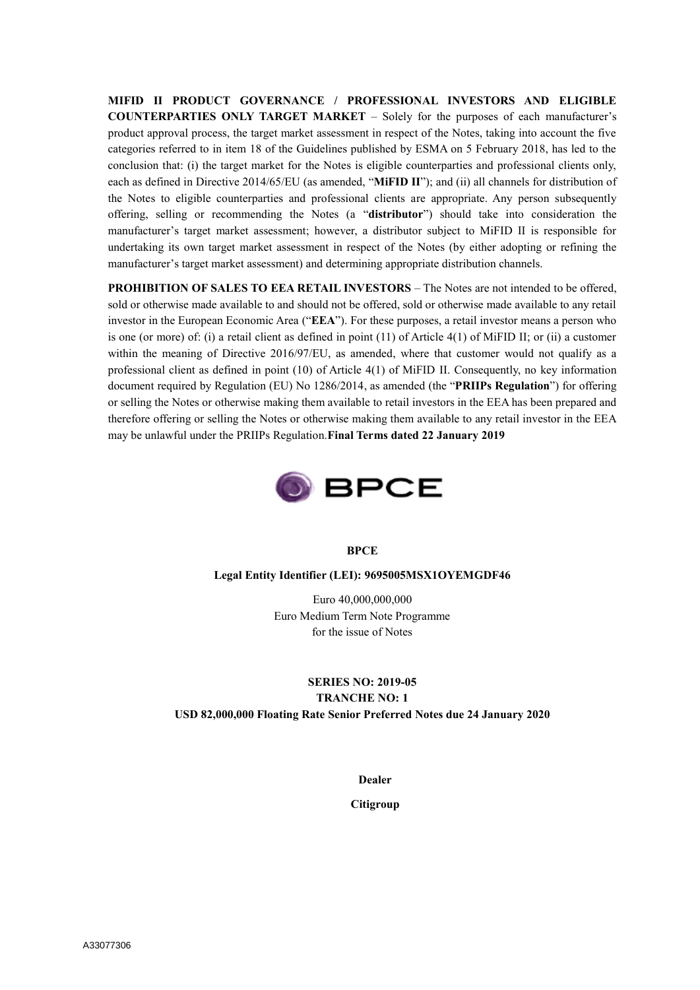**MIFID II PRODUCT GOVERNANCE / PROFESSIONAL INVESTORS AND ELIGIBLE COUNTERPARTIES ONLY TARGET MARKET** – Solely for the purposes of each manufacturer's product approval process, the target market assessment in respect of the Notes, taking into account the five categories referred to in item 18 of the Guidelines published by ESMA on 5 February 2018, has led to the conclusion that: (i) the target market for the Notes is eligible counterparties and professional clients only, each as defined in Directive 2014/65/EU (as amended, "**MiFID II**"); and (ii) all channels for distribution of the Notes to eligible counterparties and professional clients are appropriate. Any person subsequently offering, selling or recommending the Notes (a "**distributor**") should take into consideration the manufacturer's target market assessment; however, a distributor subject to MiFID II is responsible for undertaking its own target market assessment in respect of the Notes (by either adopting or refining the manufacturer's target market assessment) and determining appropriate distribution channels.

**PROHIBITION OF SALES TO EEA RETAIL INVESTORS – The Notes are not intended to be offered,** sold or otherwise made available to and should not be offered, sold or otherwise made available to any retail investor in the European Economic Area ("**EEA**"). For these purposes, a retail investor means a person who is one (or more) of: (i) a retail client as defined in point (11) of Article 4(1) of MiFID II; or (ii) a customer within the meaning of Directive 2016/97/EU, as amended, where that customer would not qualify as a professional client as defined in point (10) of Article 4(1) of MiFID II. Consequently, no key information document required by Regulation (EU) No 1286/2014, as amended (the "**PRIIPs Regulation**") for offering or selling the Notes or otherwise making them available to retail investors in the EEA has been prepared and therefore offering or selling the Notes or otherwise making them available to any retail investor in the EEA may be unlawful under the PRIIPs Regulation.**Final Terms dated 22 January 2019**



#### **BPCE**

#### **Legal Entity Identifier (LEI): 9695005MSX1OYEMGDF46**

Euro 40,000,000,000 Euro Medium Term Note Programme for the issue of Notes

# **SERIES NO: 2019-05 TRANCHE NO: 1 USD 82,000,000 Floating Rate Senior Preferred Notes due 24 January 2020**

**Dealer**

**Citigroup**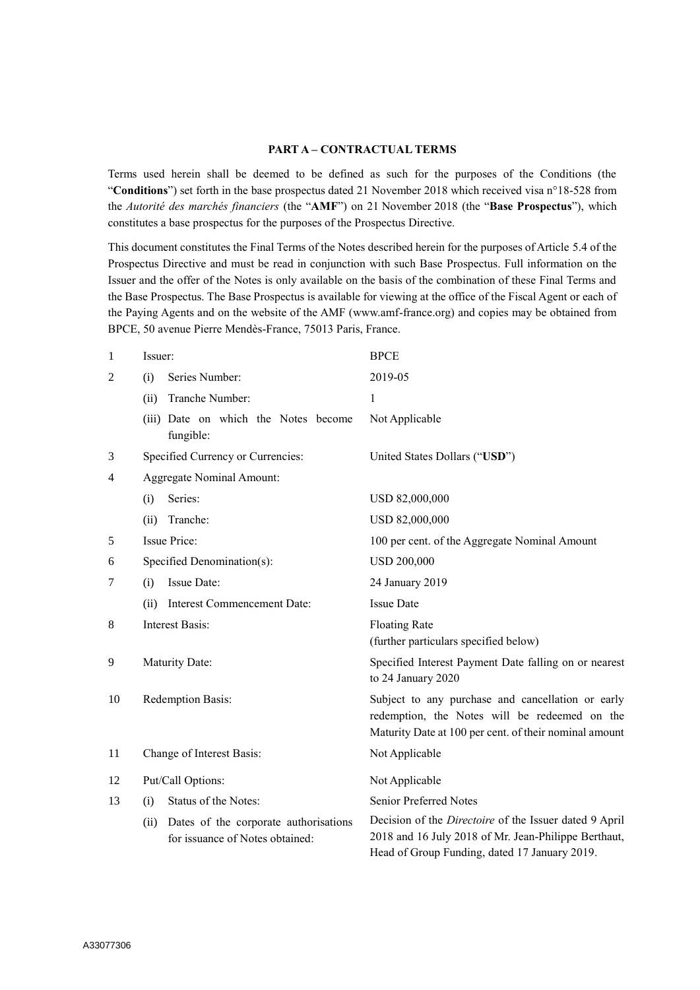## **PART A – CONTRACTUAL TERMS**

Terms used herein shall be deemed to be defined as such for the purposes of the Conditions (the "**Conditions**") set forth in the base prospectus dated 21 November 2018 which received visa n°18-528 from the *Autorité des marchés financiers* (the "**AMF**") on 21 November 2018 (the "**Base Prospectus**"), which constitutes a base prospectus for the purposes of the Prospectus Directive.

This document constitutes the Final Terms of the Notes described herein for the purposes of Article 5.4 of the Prospectus Directive and must be read in conjunction with such Base Prospectus. Full information on the Issuer and the offer of the Notes is only available on the basis of the combination of these Final Terms and the Base Prospectus. The Base Prospectus is available for viewing at the office of the Fiscal Agent or each of the Paying Agents and on the website of the AMF (www.amf-france.org) and copies may be obtained from BPCE, 50 avenue Pierre Mendès-France, 75013 Paris, France.

| $\mathbf{1}$   | Issuer:                                                                          | <b>BPCE</b>                                                                                                                                                            |
|----------------|----------------------------------------------------------------------------------|------------------------------------------------------------------------------------------------------------------------------------------------------------------------|
| $\overline{2}$ | Series Number:<br>(i)                                                            | 2019-05                                                                                                                                                                |
|                | Tranche Number:<br>(ii)                                                          | $\mathbf{1}$                                                                                                                                                           |
|                | (iii) Date on which the Notes become<br>fungible:                                | Not Applicable                                                                                                                                                         |
| 3              | Specified Currency or Currencies:                                                | United States Dollars ("USD")                                                                                                                                          |
| $\overline{4}$ | <b>Aggregate Nominal Amount:</b>                                                 |                                                                                                                                                                        |
|                | Series:<br>(i)                                                                   | USD 82,000,000                                                                                                                                                         |
|                | Tranche:<br>(ii)                                                                 | USD 82,000,000                                                                                                                                                         |
| 5              | <b>Issue Price:</b>                                                              | 100 per cent. of the Aggregate Nominal Amount                                                                                                                          |
| 6              | Specified Denomination(s):                                                       | <b>USD 200,000</b>                                                                                                                                                     |
| 7              | Issue Date:<br>(i)                                                               | 24 January 2019                                                                                                                                                        |
|                | Interest Commencement Date:<br>(ii)                                              | <b>Issue Date</b>                                                                                                                                                      |
| 8              | <b>Interest Basis:</b>                                                           | <b>Floating Rate</b><br>(further particulars specified below)                                                                                                          |
| 9              | Maturity Date:                                                                   | Specified Interest Payment Date falling on or nearest<br>to 24 January 2020                                                                                            |
| 10             | Redemption Basis:                                                                | Subject to any purchase and cancellation or early<br>redemption, the Notes will be redeemed on the<br>Maturity Date at 100 per cent. of their nominal amount           |
| 11             | Change of Interest Basis:                                                        | Not Applicable                                                                                                                                                         |
| 12             | Put/Call Options:                                                                | Not Applicable                                                                                                                                                         |
| 13             | Status of the Notes:<br>(i)                                                      | Senior Preferred Notes                                                                                                                                                 |
|                | Dates of the corporate authorisations<br>(ii)<br>for issuance of Notes obtained: | Decision of the <i>Directoire</i> of the Issuer dated 9 April<br>2018 and 16 July 2018 of Mr. Jean-Philippe Berthaut,<br>Head of Group Funding, dated 17 January 2019. |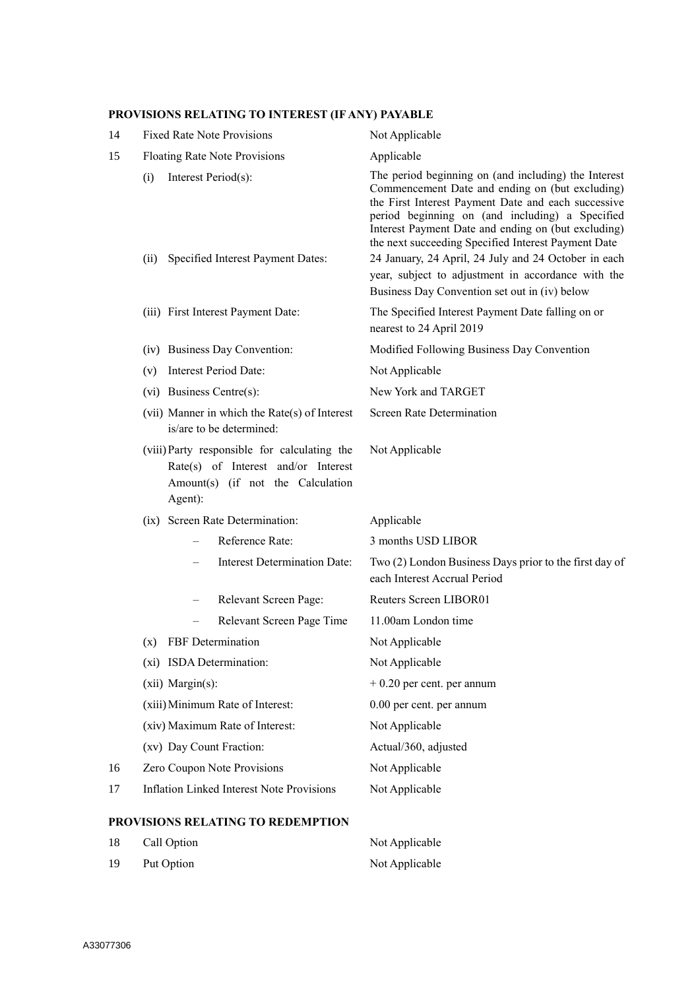# **PROVISIONS RELATING TO INTEREST (IF ANY) PAYABLE**

| 14 | <b>Fixed Rate Note Provisions</b>                                                                                                   | Not Applicable                                                                                                                                                                                                                                                                                                                  |
|----|-------------------------------------------------------------------------------------------------------------------------------------|---------------------------------------------------------------------------------------------------------------------------------------------------------------------------------------------------------------------------------------------------------------------------------------------------------------------------------|
| 15 | Floating Rate Note Provisions                                                                                                       | Applicable                                                                                                                                                                                                                                                                                                                      |
|    | (i)<br>Interest Period(s):                                                                                                          | The period beginning on (and including) the Interest<br>Commencement Date and ending on (but excluding)<br>the First Interest Payment Date and each successive<br>period beginning on (and including) a Specified<br>Interest Payment Date and ending on (but excluding)<br>the next succeeding Specified Interest Payment Date |
|    | Specified Interest Payment Dates:<br>(ii)                                                                                           | 24 January, 24 April, 24 July and 24 October in each<br>year, subject to adjustment in accordance with the<br>Business Day Convention set out in (iv) below                                                                                                                                                                     |
|    | (iii) First Interest Payment Date:                                                                                                  | The Specified Interest Payment Date falling on or<br>nearest to 24 April 2019                                                                                                                                                                                                                                                   |
|    | (iv) Business Day Convention:                                                                                                       | Modified Following Business Day Convention                                                                                                                                                                                                                                                                                      |
|    | Interest Period Date:<br>(v)                                                                                                        | Not Applicable                                                                                                                                                                                                                                                                                                                  |
|    | (vi) Business Centre(s):                                                                                                            | New York and TARGET                                                                                                                                                                                                                                                                                                             |
|    | (vii) Manner in which the $Rate(s)$ of Interest<br>is/are to be determined:                                                         | Screen Rate Determination                                                                                                                                                                                                                                                                                                       |
|    | (viii) Party responsible for calculating the<br>Rate(s) of Interest and/or Interest<br>Amount(s) (if not the Calculation<br>Agent): | Not Applicable                                                                                                                                                                                                                                                                                                                  |
|    | (ix) Screen Rate Determination:                                                                                                     | Applicable                                                                                                                                                                                                                                                                                                                      |
|    | Reference Rate:                                                                                                                     | 3 months USD LIBOR                                                                                                                                                                                                                                                                                                              |
|    | <b>Interest Determination Date:</b>                                                                                                 | Two (2) London Business Days prior to the first day of<br>each Interest Accrual Period                                                                                                                                                                                                                                          |
|    | Relevant Screen Page:                                                                                                               | Reuters Screen LIBOR01                                                                                                                                                                                                                                                                                                          |
|    | Relevant Screen Page Time                                                                                                           | 11.00am London time                                                                                                                                                                                                                                                                                                             |
|    | (x) FBF Determination                                                                                                               | Not Applicable                                                                                                                                                                                                                                                                                                                  |
|    | (xi) ISDA Determination:                                                                                                            | Not Applicable                                                                                                                                                                                                                                                                                                                  |
|    | (xii) Margin(s):                                                                                                                    | $+0.20$ per cent. per annum                                                                                                                                                                                                                                                                                                     |
|    | (xiii) Minimum Rate of Interest:                                                                                                    | 0.00 per cent. per annum                                                                                                                                                                                                                                                                                                        |
|    | (xiv) Maximum Rate of Interest:                                                                                                     | Not Applicable                                                                                                                                                                                                                                                                                                                  |
|    | (xv) Day Count Fraction:                                                                                                            | Actual/360, adjusted                                                                                                                                                                                                                                                                                                            |
| 16 | Zero Coupon Note Provisions                                                                                                         | Not Applicable                                                                                                                                                                                                                                                                                                                  |
| 17 | <b>Inflation Linked Interest Note Provisions</b>                                                                                    | Not Applicable                                                                                                                                                                                                                                                                                                                  |

# **PROVISIONS RELATING TO REDEMPTION**

| 18 | Call Option | Not Applicable |
|----|-------------|----------------|
| 19 | Put Option  | Not Applicable |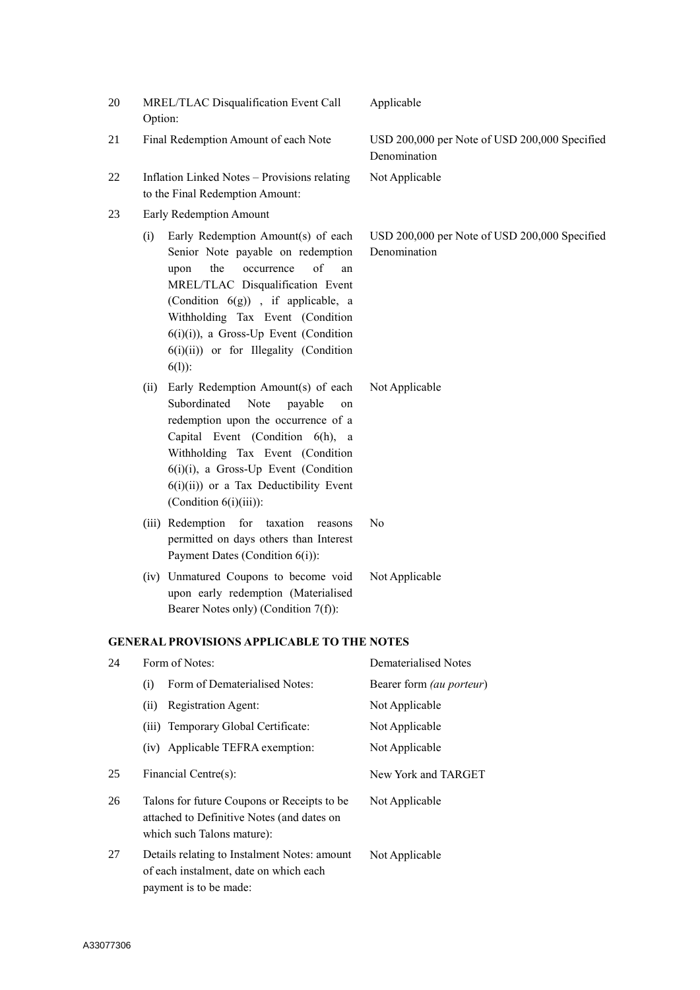| 20 | MREL/TLAC Disqualification Event Call<br>Option:                                                                                                                                                                                                                                                                                           | Applicable                                                    |
|----|--------------------------------------------------------------------------------------------------------------------------------------------------------------------------------------------------------------------------------------------------------------------------------------------------------------------------------------------|---------------------------------------------------------------|
| 21 | Final Redemption Amount of each Note                                                                                                                                                                                                                                                                                                       | USD 200,000 per Note of USD 200,000 Specified<br>Denomination |
| 22 | Inflation Linked Notes - Provisions relating<br>to the Final Redemption Amount:                                                                                                                                                                                                                                                            | Not Applicable                                                |
| 23 | Early Redemption Amount                                                                                                                                                                                                                                                                                                                    |                                                               |
|    | Early Redemption Amount(s) of each<br>(i)<br>Senior Note payable on redemption<br>of<br>the<br>occurrence<br>upon<br>an<br>MREL/TLAC Disqualification Event<br>(Condition $6(g)$ ), if applicable, a<br>Withholding Tax Event (Condition<br>$6(i)(i)$ , a Gross-Up Event (Condition<br>$6(i)(ii)$ or for Illegality (Condition<br>$6(1)$ : | USD 200,000 per Note of USD 200,000 Specified<br>Denomination |
|    | Early Redemption Amount(s) of each<br>(ii)<br>Subordinated<br>Note<br>payable<br>on<br>redemption upon the occurrence of a<br>Capital Event (Condition 6(h), a<br>Withholding Tax Event (Condition<br>$6(i)(i)$ , a Gross-Up Event (Condition<br>$6(i)(ii)$ or a Tax Deductibility Event<br>(Condition 6(i)(iii)):                         | Not Applicable                                                |
|    | (iii) Redemption for taxation<br>reasons<br>permitted on days others than Interest<br>Payment Dates (Condition 6(i)):                                                                                                                                                                                                                      | No                                                            |
|    | (iv) Unmatured Coupons to become void<br>upon early redemption (Materialised<br>Bearer Notes only) (Condition 7(f)):                                                                                                                                                                                                                       | Not Applicable                                                |
|    | <b>GENERAL PROVISIONS APPLICABLE TO THE NOTES</b>                                                                                                                                                                                                                                                                                          |                                                               |
| 24 | Form of Notes:                                                                                                                                                                                                                                                                                                                             | Dematerialised Notes                                          |
|    | Form of Dematerialised Notes:<br>(i)                                                                                                                                                                                                                                                                                                       | Bearer form (au porteur)                                      |
|    | Registration Agent:<br>(ii)                                                                                                                                                                                                                                                                                                                | Not Applicable                                                |
|    | (iii) Temporary Global Certificate:                                                                                                                                                                                                                                                                                                        | Not Applicable                                                |
|    | (iv) Applicable TEFRA exemption:                                                                                                                                                                                                                                                                                                           | Not Applicable                                                |
| 25 | Financial Centre(s):                                                                                                                                                                                                                                                                                                                       | New York and TARGET                                           |
| 26 | Talons for future Coupons or Receipts to be<br>attached to Definitive Notes (and dates on<br>which such Talons mature):                                                                                                                                                                                                                    | Not Applicable                                                |
| 27 | Details relating to Instalment Notes: amount<br>of each instalment, date on which each<br>payment is to be made:                                                                                                                                                                                                                           | Not Applicable                                                |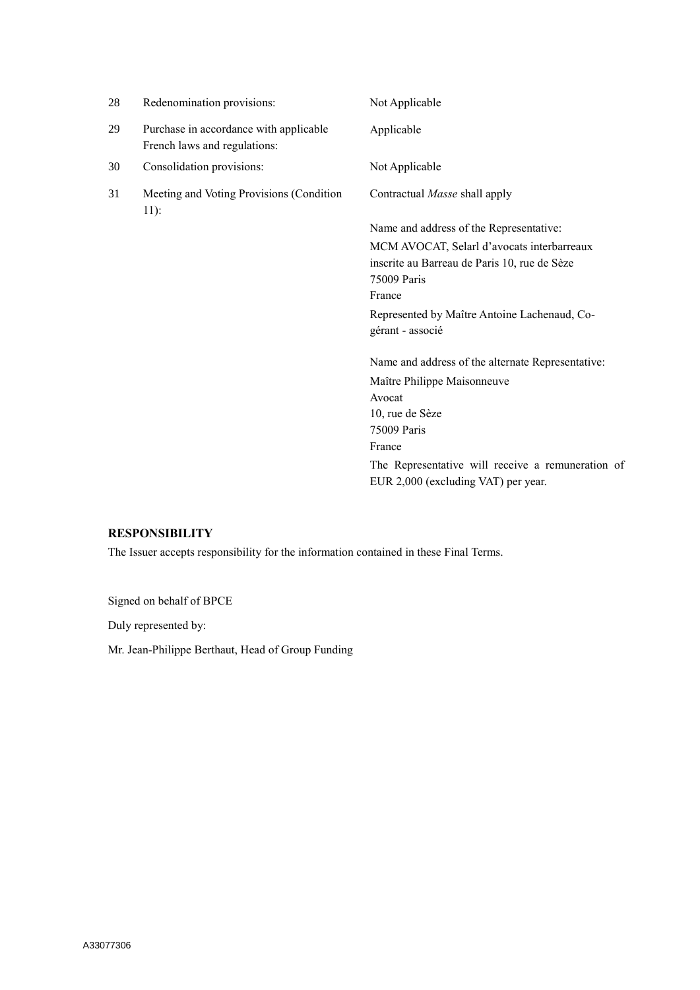| 28 | Redenomination provisions:                                             | Not Applicable                                    |
|----|------------------------------------------------------------------------|---------------------------------------------------|
| 29 | Purchase in accordance with applicable<br>French laws and regulations: | Applicable                                        |
| 30 | Consolidation provisions:                                              | Not Applicable                                    |
| 31 | Meeting and Voting Provisions (Condition<br>$11)$ :                    | Contractual <i>Masse</i> shall apply              |
|    |                                                                        | Name and address of the Representative:           |
|    |                                                                        | MCM AVOCAT, Selarl d'avocats interbarreaux        |
|    |                                                                        | inscrite au Barreau de Paris 10, rue de Sèze      |
|    |                                                                        | 75009 Paris                                       |
|    |                                                                        | France                                            |
|    |                                                                        | Represented by Maître Antoine Lachenaud, Co-      |
|    |                                                                        | gérant - associé                                  |
|    |                                                                        | Name and address of the alternate Representative: |
|    |                                                                        | Maître Philippe Maisonneuve                       |
|    |                                                                        | Avocat                                            |
|    |                                                                        | 10, rue de Sèze                                   |
|    |                                                                        | 75009 Paris                                       |
|    |                                                                        | France                                            |
|    |                                                                        | The Representative will receive a remuneration of |
|    |                                                                        | EUR 2,000 (excluding VAT) per year.               |
|    |                                                                        |                                                   |

# **RESPONSIBILITY**

The Issuer accepts responsibility for the information contained in these Final Terms.

Signed on behalf of BPCE

Duly represented by:

Mr. Jean-Philippe Berthaut, Head of Group Funding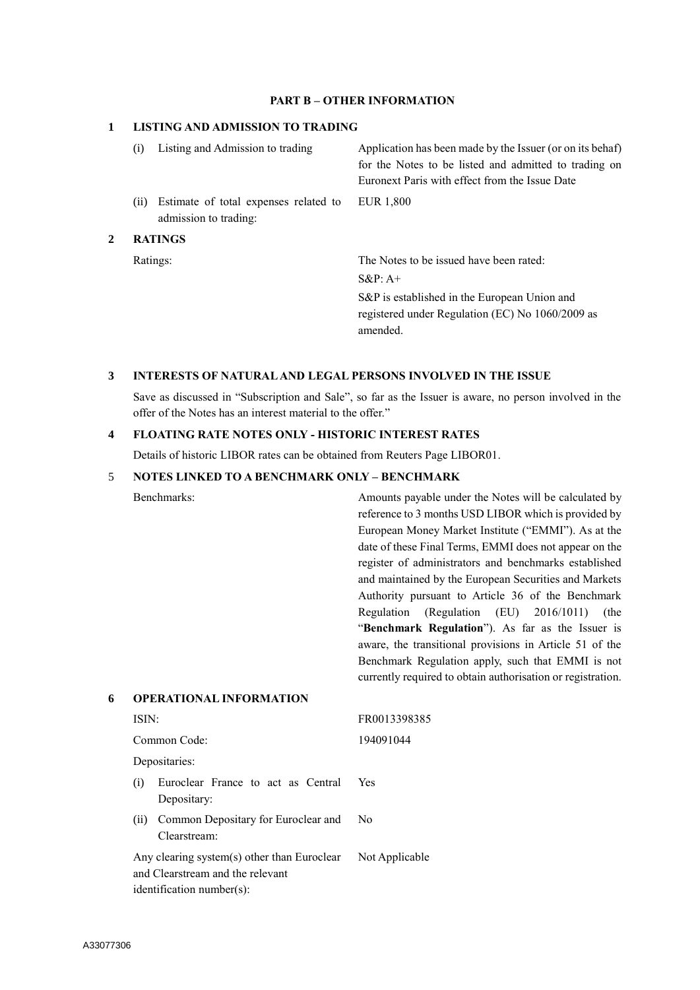### **PART B – OTHER INFORMATION**

### **1 LISTING AND ADMISSION TO TRADING**

|   | (i) | Listing and Admission to trading                               | Application has been made by the Issuer (or on its behaf)<br>for the Notes to be listed and admitted to trading on<br>Euronext Paris with effect from the Issue Date |  |
|---|-----|----------------------------------------------------------------|----------------------------------------------------------------------------------------------------------------------------------------------------------------------|--|
|   | (i) | Estimate of total expenses related to<br>admission to trading: | EUR 1,800                                                                                                                                                            |  |
| 2 |     | <b>RATINGS</b>                                                 |                                                                                                                                                                      |  |
|   |     | Ratings:                                                       | The Notes to be issued have been rated:                                                                                                                              |  |
|   |     |                                                                | $S\&P: A+$                                                                                                                                                           |  |
|   |     |                                                                | S&P is established in the European Union and<br>registered under Regulation (EC) No 1060/2009 as                                                                     |  |

#### **3 INTERESTS OF NATURAL AND LEGAL PERSONS INVOLVED IN THE ISSUE**

Save as discussed in "Subscription and Sale", so far as the Issuer is aware, no person involved in the offer of the Notes has an interest material to the offer."

amended.

## **4 FLOATING RATE NOTES ONLY - HISTORIC INTEREST RATES**

Details of historic LIBOR rates can be obtained from Reuters Page LIBOR01.

#### 5 **NOTES LINKED TO A BENCHMARK ONLY – BENCHMARK**

**6 OPERATIONAL INFORMATION**

identification number(s):

Benchmarks: Amounts payable under the Notes will be calculated by reference to 3 months USD LIBOR which is provided by European Money Market Institute ("EMMI"). As at the date of these Final Terms, EMMI does not appear on the register of administrators and benchmarks established and maintained by the European Securities and Markets Authority pursuant to Article 36 of the Benchmark Regulation (Regulation (EU) 2016/1011) (the "**Benchmark Regulation**"). As far as the Issuer is aware, the transitional provisions in Article 51 of the Benchmark Regulation apply, such that EMMI is not currently required to obtain authorisation or registration.

# ISIN: FR0013398385 Common Code: 194091044 Depositaries: (i) Euroclear France to act as Central Depositary: Yes (ii) Common Depositary for Euroclear and Clearstream: No Any clearing system(s) other than Euroclear and Clearstream and the relevant Not Applicable